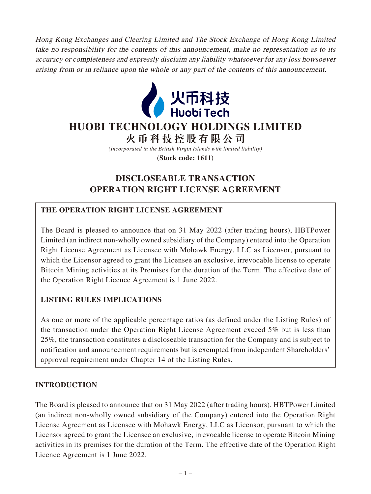Hong Kong Exchanges and Clearing Limited and The Stock Exchange of Hong Kong Limited take no responsibility for the contents of this announcement, make no representation as to its accuracy or completeness and expressly disclaim any liability whatsoever for any loss howsoever arising from or in reliance upon the whole or any part of the contents of this announcement.



# **HUOBI TECHNOLOGY HOLDINGS LIMITED**

**火幣科技控股有限公司**

*(Incorporated in the British Virgin Islands with limited liability)*

**(Stock code: 1611)**

## **DISCLOSEABLE TRANSACTION OPERATION RIGHT LICENSE AGREEMENT**

## **THE OPERATION RIGHT LICENSE AGREEMENT**

The Board is pleased to announce that on 31 May 2022 (after trading hours), HBTPower Limited (an indirect non-wholly owned subsidiary of the Company) entered into the Operation Right License Agreement as Licensee with Mohawk Energy, LLC as Licensor, pursuant to which the Licensor agreed to grant the Licensee an exclusive, irrevocable license to operate Bitcoin Mining activities at its Premises for the duration of the Term. The effective date of the Operation Right Licence Agreement is 1 June 2022.

## **LISTING RULES IMPLICATIONS**

As one or more of the applicable percentage ratios (as defined under the Listing Rules) of the transaction under the Operation Right License Agreement exceed 5% but is less than 25%, the transaction constitutes a discloseable transaction for the Company and is subject to notification and announcement requirements but is exempted from independent Shareholders' approval requirement under Chapter 14 of the Listing Rules.

#### **INTRODUCTION**

The Board is pleased to announce that on 31 May 2022 (after trading hours), HBTPower Limited (an indirect non-wholly owned subsidiary of the Company) entered into the Operation Right License Agreement as Licensee with Mohawk Energy, LLC as Licensor, pursuant to which the Licensor agreed to grant the Licensee an exclusive, irrevocable license to operate Bitcoin Mining activities in its premises for the duration of the Term. The effective date of the Operation Right Licence Agreement is 1 June 2022.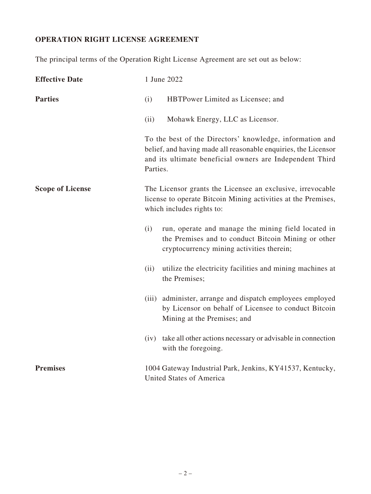## **OPERATION RIGHT LICENSE AGREEMENT**

The principal terms of the Operation Right License Agreement are set out as below:

| <b>Effective Date</b>   |                                                                                                                                                          | 1 June 2022                                                                                                                                                                            |
|-------------------------|----------------------------------------------------------------------------------------------------------------------------------------------------------|----------------------------------------------------------------------------------------------------------------------------------------------------------------------------------------|
| <b>Parties</b>          | (i)                                                                                                                                                      | HBTPower Limited as Licensee; and                                                                                                                                                      |
|                         | (ii)                                                                                                                                                     | Mohawk Energy, LLC as Licensor.                                                                                                                                                        |
|                         | Parties.                                                                                                                                                 | To the best of the Directors' knowledge, information and<br>belief, and having made all reasonable enquiries, the Licensor<br>and its ultimate beneficial owners are Independent Third |
| <b>Scope of License</b> | The Licensor grants the Licensee an exclusive, irrevocable<br>license to operate Bitcoin Mining activities at the Premises,<br>which includes rights to: |                                                                                                                                                                                        |
|                         | (i)                                                                                                                                                      | run, operate and manage the mining field located in<br>the Premises and to conduct Bitcoin Mining or other<br>cryptocurrency mining activities therein;                                |
|                         | (ii)                                                                                                                                                     | utilize the electricity facilities and mining machines at<br>the Premises;                                                                                                             |
|                         |                                                                                                                                                          | (iii) administer, arrange and dispatch employees employed<br>by Licensor on behalf of Licensee to conduct Bitcoin<br>Mining at the Premises; and                                       |
|                         |                                                                                                                                                          | (iv) take all other actions necessary or advisable in connection<br>with the foregoing.                                                                                                |
| <b>Premises</b>         |                                                                                                                                                          | 1004 Gateway Industrial Park, Jenkins, KY41537, Kentucky,<br>United States of America                                                                                                  |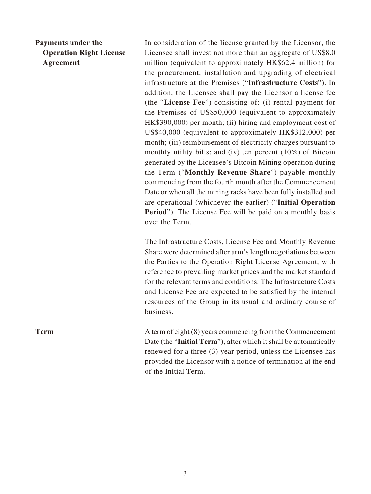**Payments under the Operation Right License Agreement**

In consideration of the license granted by the Licensor, the Licensee shall invest not more than an aggregate of US\$8.0 million (equivalent to approximately HK\$62.4 million) for the procurement, installation and upgrading of electrical infrastructure at the Premises ("**Infrastructure Costs**"). In addition, the Licensee shall pay the Licensor a license fee (the "**License Fee**") consisting of: (i) rental payment for the Premises of US\$50,000 (equivalent to approximately HK\$390,000) per month; (ii) hiring and employment cost of US\$40,000 (equivalent to approximately HK\$312,000) per month; (iii) reimbursement of electricity charges pursuant to monthly utility bills; and (iv) ten percent (10%) of Bitcoin generated by the Licensee's Bitcoin Mining operation during the Term ("**Monthly Revenue Share**") payable monthly commencing from the fourth month after the Commencement Date or when all the mining racks have been fully installed and are operational (whichever the earlier) ("**Initial Operation Period**"). The License Fee will be paid on a monthly basis over the Term.

The Infrastructure Costs, License Fee and Monthly Revenue Share were determined after arm's length negotiations between the Parties to the Operation Right License Agreement, with reference to prevailing market prices and the market standard for the relevant terms and conditions. The Infrastructure Costs and License Fee are expected to be satisfied by the internal resources of the Group in its usual and ordinary course of business.

**Term** A term of eight (8) years commencing from the Commencement Date (the "**Initial Term**"), after which it shall be automatically renewed for a three (3) year period, unless the Licensee has provided the Licensor with a notice of termination at the end of the Initial Term.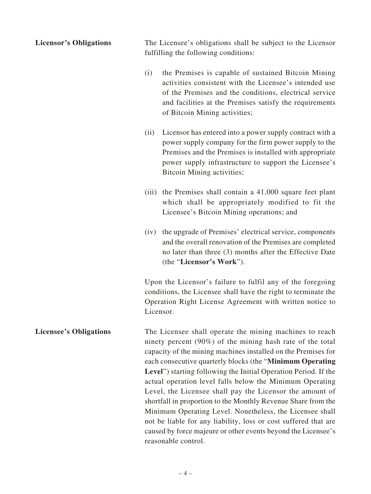| <b>Licensor's Obligations</b> | The Licensee's obligations shall be subject to the Licensor<br>fulfilling the following conditions:                                                                                                   |                                                                                                                                                                                                                                                                                                                                                                                                                                                                                                                                                                                                                                                                                                                                       |
|-------------------------------|-------------------------------------------------------------------------------------------------------------------------------------------------------------------------------------------------------|---------------------------------------------------------------------------------------------------------------------------------------------------------------------------------------------------------------------------------------------------------------------------------------------------------------------------------------------------------------------------------------------------------------------------------------------------------------------------------------------------------------------------------------------------------------------------------------------------------------------------------------------------------------------------------------------------------------------------------------|
|                               | (i)                                                                                                                                                                                                   | the Premises is capable of sustained Bitcoin Mining<br>activities consistent with the Licensee's intended use<br>of the Premises and the conditions, electrical service<br>and facilities at the Premises satisfy the requirements<br>of Bitcoin Mining activities;                                                                                                                                                                                                                                                                                                                                                                                                                                                                   |
|                               | (ii)                                                                                                                                                                                                  | Licensor has entered into a power supply contract with a<br>power supply company for the firm power supply to the<br>Premises and the Premises is installed with appropriate<br>power supply infrastructure to support the Licensee's<br>Bitcoin Mining activities;                                                                                                                                                                                                                                                                                                                                                                                                                                                                   |
|                               |                                                                                                                                                                                                       | (iii) the Premises shall contain a 41,000 square feet plant<br>which shall be appropriately modified to fit the<br>Licensee's Bitcoin Mining operations; and                                                                                                                                                                                                                                                                                                                                                                                                                                                                                                                                                                          |
|                               | (iv)                                                                                                                                                                                                  | the upgrade of Premises' electrical service, components<br>and the overall renovation of the Premises are completed<br>no later than three (3) months after the Effective Date<br>(the "Licensor's Work").                                                                                                                                                                                                                                                                                                                                                                                                                                                                                                                            |
|                               | Upon the Licensor's failure to fulfil any of the foregoing<br>conditions, the Licensee shall have the right to terminate the<br>Operation Right License Agreement with written notice to<br>Licensor. |                                                                                                                                                                                                                                                                                                                                                                                                                                                                                                                                                                                                                                                                                                                                       |
| <b>Licensee's Obligations</b> |                                                                                                                                                                                                       | The Licensee shall operate the mining machines to reach<br>ninety percent (90%) of the mining hash rate of the total<br>capacity of the mining machines installed on the Premises for<br>each consecutive quarterly blocks (the "Minimum Operating<br>Level") starting following the Initial Operation Period. If the<br>actual operation level falls below the Minimum Operating<br>Level, the Licensee shall pay the Licensor the amount of<br>shortfall in proportion to the Monthly Revenue Share from the<br>Minimum Operating Level. Nonetheless, the Licensee shall<br>not be liable for any liability, loss or cost suffered that are<br>caused by force majeure or other events beyond the Licensee's<br>reasonable control. |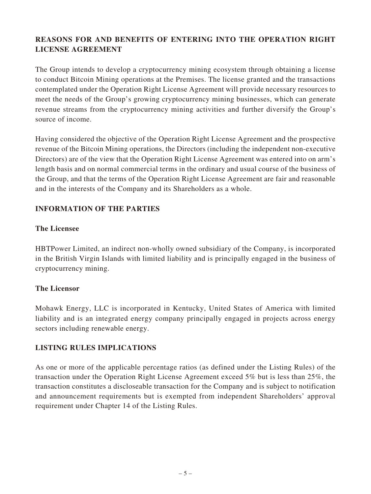## **REASONS FOR AND BENEFITS OF ENTERING INTO THE OPERATION RIGHT LICENSE AGREEMENT**

The Group intends to develop a cryptocurrency mining ecosystem through obtaining a license to conduct Bitcoin Mining operations at the Premises. The license granted and the transactions contemplated under the Operation Right License Agreement will provide necessary resources to meet the needs of the Group's growing cryptocurrency mining businesses, which can generate revenue streams from the cryptocurrency mining activities and further diversify the Group's source of income.

Having considered the objective of the Operation Right License Agreement and the prospective revenue of the Bitcoin Mining operations, the Directors (including the independent non-executive Directors) are of the view that the Operation Right License Agreement was entered into on arm's length basis and on normal commercial terms in the ordinary and usual course of the business of the Group, and that the terms of the Operation Right License Agreement are fair and reasonable and in the interests of the Company and its Shareholders as a whole.

#### **INFORMATION OF THE PARTIES**

#### **The Licensee**

HBTPower Limited, an indirect non-wholly owned subsidiary of the Company, is incorporated in the British Virgin Islands with limited liability and is principally engaged in the business of cryptocurrency mining.

#### **The Licensor**

Mohawk Energy, LLC is incorporated in Kentucky, United States of America with limited liability and is an integrated energy company principally engaged in projects across energy sectors including renewable energy.

#### **LISTING RULES IMPLICATIONS**

As one or more of the applicable percentage ratios (as defined under the Listing Rules) of the transaction under the Operation Right License Agreement exceed 5% but is less than 25%, the transaction constitutes a discloseable transaction for the Company and is subject to notification and announcement requirements but is exempted from independent Shareholders' approval requirement under Chapter 14 of the Listing Rules.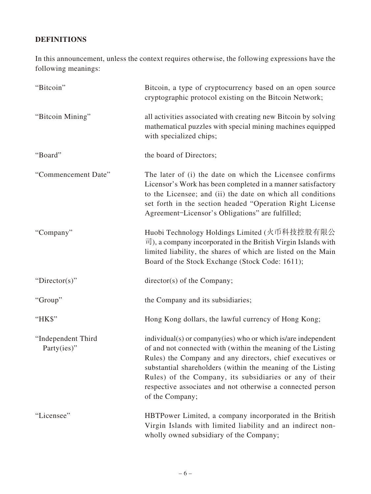## **DEFINITIONS**

In this announcement, unless the context requires otherwise, the following expressions have the following meanings:

| "Bitcoin"                         | Bitcoin, a type of cryptocurrency based on an open source<br>cryptographic protocol existing on the Bitcoin Network;                                                                                                                                                                                                                                                                                  |
|-----------------------------------|-------------------------------------------------------------------------------------------------------------------------------------------------------------------------------------------------------------------------------------------------------------------------------------------------------------------------------------------------------------------------------------------------------|
| "Bitcoin Mining"                  | all activities associated with creating new Bitcoin by solving<br>mathematical puzzles with special mining machines equipped<br>with specialized chips;                                                                                                                                                                                                                                               |
| "Board"                           | the board of Directors;                                                                                                                                                                                                                                                                                                                                                                               |
| "Commencement Date"               | The later of (i) the date on which the Licensee confirms<br>Licensor's Work has been completed in a manner satisfactory<br>to the Licensee; and (ii) the date on which all conditions<br>set forth in the section headed "Operation Right License<br>Agreement-Licensor's Obligations" are fulfilled;                                                                                                 |
| "Company"                         | Huobi Technology Holdings Limited (火币科技控股有限公<br>$\overline{\overline{\mathbb{H}}}$ ), a company incorporated in the British Virgin Islands with<br>limited liability, the shares of which are listed on the Main<br>Board of the Stock Exchange (Stock Code: 1611);                                                                                                                                   |
| "Director(s)"                     | director(s) of the Company;                                                                                                                                                                                                                                                                                                                                                                           |
| "Group"                           | the Company and its subsidiaries;                                                                                                                                                                                                                                                                                                                                                                     |
| "HK\$"                            | Hong Kong dollars, the lawful currency of Hong Kong;                                                                                                                                                                                                                                                                                                                                                  |
| "Independent Third<br>Party(ies)" | individual(s) or company(ies) who or which is/are independent<br>of and not connected with (within the meaning of the Listing<br>Rules) the Company and any directors, chief executives or<br>substantial shareholders (within the meaning of the Listing<br>Rules) of the Company, its subsidiaries or any of their<br>respective associates and not otherwise a connected person<br>of the Company; |
| "Licensee"                        | HBTPower Limited, a company incorporated in the British<br>Virgin Islands with limited liability and an indirect non-<br>wholly owned subsidiary of the Company;                                                                                                                                                                                                                                      |